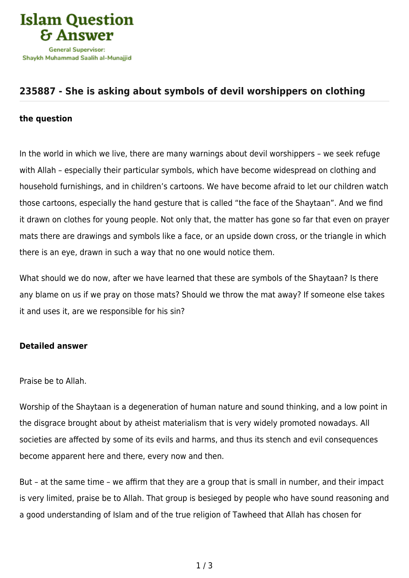

## **[235887 - She is asking about symbols of devil worshippers on clothing](https://islamqa.com/en/answers/235887/she-is-asking-about-symbols-of-devil-worshippers-on-clothing)**

## **the question**

In the world in which we live, there are many warnings about devil worshippers – we seek refuge with Allah – especially their particular symbols, which have become widespread on clothing and household furnishings, and in children's cartoons. We have become afraid to let our children watch those cartoons, especially the hand gesture that is called "the face of the Shaytaan". And we find it drawn on clothes for young people. Not only that, the matter has gone so far that even on prayer mats there are drawings and symbols like a face, or an upside down cross, or the triangle in which there is an eye, drawn in such a way that no one would notice them.

What should we do now, after we have learned that these are symbols of the Shaytaan? Is there any blame on us if we pray on those mats? Should we throw the mat away? If someone else takes it and uses it, are we responsible for his sin?

## **Detailed answer**

Praise be to Allah.

Worship of the Shaytaan is a degeneration of human nature and sound thinking, and a low point in the disgrace brought about by atheist materialism that is very widely promoted nowadays. All societies are affected by some of its evils and harms, and thus its stench and evil consequences become apparent here and there, every now and then.

But – at the same time – we affirm that they are a group that is small in number, and their impact is very limited, praise be to Allah. That group is besieged by people who have sound reasoning and a good understanding of Islam and of the true religion of Tawheed that Allah has chosen for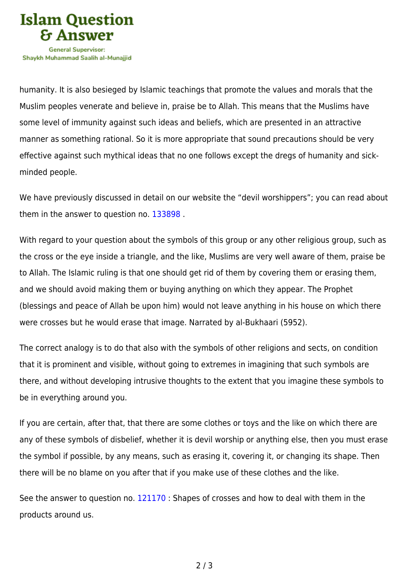

humanity. It is also besieged by Islamic teachings that promote the values and morals that the Muslim peoples venerate and believe in, praise be to Allah. This means that the Muslims have some level of immunity against such ideas and beliefs, which are presented in an attractive manner as something rational. So it is more appropriate that sound precautions should be very effective against such mythical ideas that no one follows except the dregs of humanity and sickminded people.

We have previously discussed in detail on our website the "devil worshippers"; you can read about them in the answer to question no. [133898](https://islamqa.com/en/answers/133898) .

With regard to your question about the symbols of this group or any other religious group, such as the cross or the eye inside a triangle, and the like, Muslims are very well aware of them, praise be to Allah. The Islamic ruling is that one should get rid of them by covering them or erasing them, and we should avoid making them or buying anything on which they appear. The Prophet (blessings and peace of Allah be upon him) would not leave anything in his house on which there were crosses but he would erase that image. Narrated by al-Bukhaari (5952).

The correct analogy is to do that also with the symbols of other religions and sects, on condition that it is prominent and visible, without going to extremes in imagining that such symbols are there, and without developing intrusive thoughts to the extent that you imagine these symbols to be in everything around you.

If you are certain, after that, that there are some clothes or toys and the like on which there are any of these symbols of disbelief, whether it is devil worship or anything else, then you must erase the symbol if possible, by any means, such as erasing it, covering it, or changing its shape. Then there will be no blame on you after that if you make use of these clothes and the like.

See the answer to question no. [121170](https://islamqa.com/en/answers/121170) : Shapes of crosses and how to deal with them in the products around us.